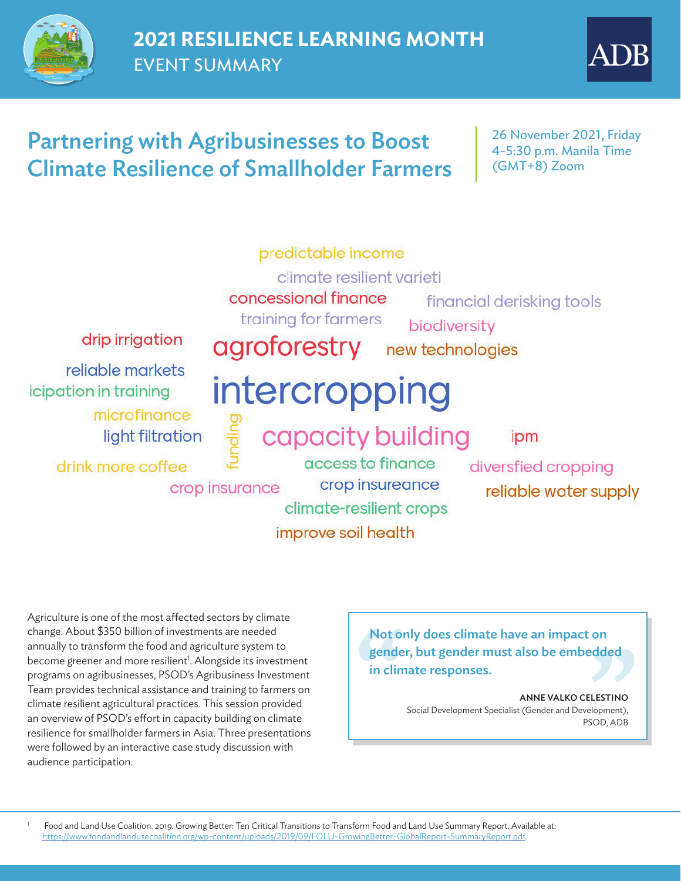

# Partnering with Agribusinesses to Boost Climate Resilience of Smallholder Farmers

26 November 2021, Friday 4-5:30 p.m. Manila Time (GMT+8) Zoom



improve soil health

## Not only does climate have an impact on gender, but gender must also be embedded in climate responses.

ANNE VALKO CELESTINO Social Development Specialist (Gender and Development), PSOD, ADB

Agriculture is one of the most affected sectors by climate change. About \$350 billion of investments are needed annually to transform the food and agriculture system to become greener and more resilient<sup>1</sup>. Alongside its investment programs on agribusinesses, PSOD's Agribusiness Investment Team provides technical assistance and training to farmers on climate resilient agricultural practices. This session provided an overview of PSOD's effort in capacity building on climate resilience for smallholder farmers in Asia. Three presentations were followed by an interactive case study discussion with audience participation.

1 Food and Land Use Coalition. 2019. Growing Better: Ten Critical Transitions to Transform Food and Land Use Summary Report. Available at: <https://www.foodandlandusecoalition.org/wp-content/uploads/2019/09/FOLU-GrowingBetter-GlobalReport-SummaryReport.pdf>.